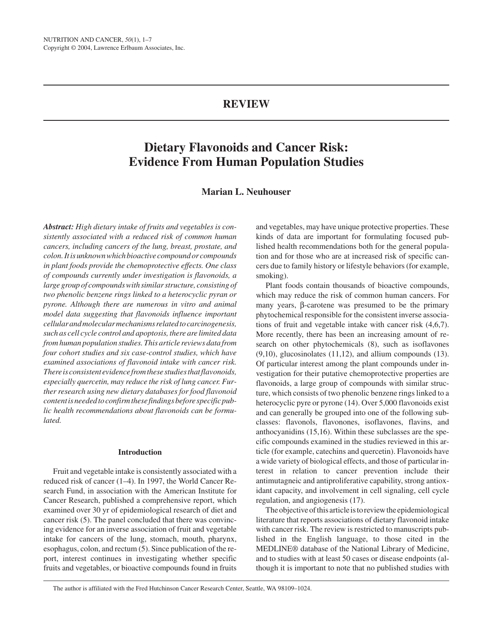# **REVIEW**

# **Dietary Flavonoids and Cancer Risk: Evidence From Human Population Studies**

# **Marian L. Neuhouser**

*Abstract: High dietary intake of fruits and vegetables is consistently associated with a reduced risk of common human cancers, including cancers of the lung, breast, prostate, and colon.Itisunknownwhichbioactivecompoundorcompounds in plant foods provide the chemoprotective effects. One class of compounds currently under investigation is flavonoids, a large group of compounds with similar structure, consisting of two phenolic benzene rings linked to a heterocyclic pyran or pyrone. Although there are numerous in vitro and animal model data suggesting that flavonoids influence important cellularandmolecularmechanismsrelatedtocarcinogenesis, such as cell cycle control and apoptosis, there are limited data from human population studies. This article reviews data from four cohort studies and six case-control studies, which have examined associations of flavonoid intake with cancer risk. Thereisconsistentevidencefromthesestudiesthatflavonoids, especially quercetin, may reduce the risk of lung cancer. Further research using new dietary databases for food flavonoid contentisneededtoconfirmthesefindingsbeforespecificpublic health recommendations about flavonoids can be formulated.*

### **Introduction**

Fruit and vegetable intake is consistently associated with a reduced risk of cancer (1–4). In 1997, the World Cancer Research Fund, in association with the American Institute for Cancer Research, published a comprehensive report, which examined over 30 yr of epidemiological research of diet and cancer risk (5). The panel concluded that there was convincing evidence for an inverse association of fruit and vegetable intake for cancers of the lung, stomach, mouth, pharynx, esophagus, colon, and rectum (5). Since publication of the report, interest continues in investigating whether specific fruits and vegetables, or bioactive compounds found in fruits

and vegetables, may have unique protective properties. These kinds of data are important for formulating focused published health recommendations both for the general population and for those who are at increased risk of specific cancers due to family history or lifestyle behaviors (for example, smoking).

Plant foods contain thousands of bioactive compounds, which may reduce the risk of common human cancers. For many years, β-carotene was presumed to be the primary phytochemical responsible for the consistent inverse associations of fruit and vegetable intake with cancer risk (4,6,7). More recently, there has been an increasing amount of research on other phytochemicals (8), such as isoflavones (9,10), glucosinolates (11,12), and allium compounds (13). Of particular interest among the plant compounds under investigation for their putative chemoprotective properties are flavonoids, a large group of compounds with similar structure, which consists of two phenolic benzene rings linked to a heterocyclic pyre or pyrone (14). Over 5,000 flavonoids exist and can generally be grouped into one of the following subclasses: flavonols, flavonones, isoflavones, flavins, and anthocyanidins (15,16). Within these subclasses are the specific compounds examined in the studies reviewed in this article (for example, catechins and quercetin). Flavonoids have a wide variety of biological effects, and those of particular interest in relation to cancer prevention include their antimutagneic and antiproliferative capability, strong antioxidant capacity, and involvement in cell signaling, cell cycle regulation, and angiogenesis (17).

The objective of this article is to review the epidemiological literature that reports associations of dietary flavonoid intake with cancer risk. The review is restricted to manuscripts published in the English language, to those cited in the MEDLINE® database of the National Library of Medicine, and to studies with at least 50 cases or disease endpoints (although it is important to note that no published studies with

The author is affiliated with the Fred Hutchinson Cancer Research Center, Seattle, WA 98109–1024.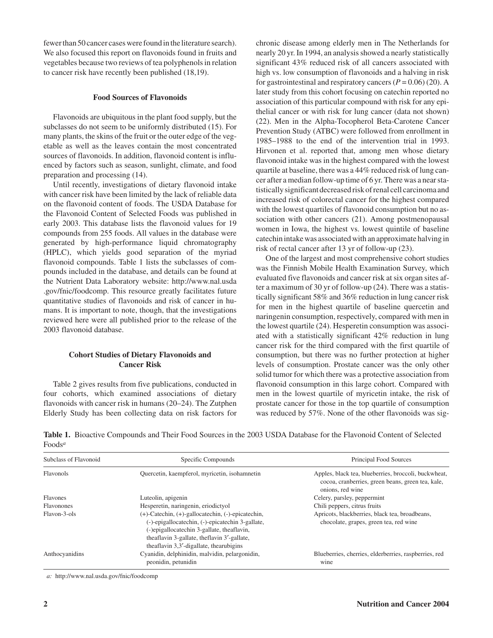fewer than 50 cancer cases were found in the literature search). We also focused this report on flavonoids found in fruits and vegetables because two reviews of tea polyphenols in relation to cancer risk have recently been published (18,19).

## **Food Sources of Flavonoids**

Flavonoids are ubiquitous in the plant food supply, but the subclasses do not seem to be uniformly distributed (15). For many plants, the skins of the fruit or the outer edge of the vegetable as well as the leaves contain the most concentrated sources of flavonoids. In addition, flavonoid content is influenced by factors such as season, sunlight, climate, and food preparation and processing (14).

Until recently, investigations of dietary flavonoid intake with cancer risk have been limited by the lack of reliable data on the flavonoid content of foods. The USDA Database for the Flavonoid Content of Selected Foods was published in early 2003. This database lists the flavonoid values for 19 compounds from 255 foods. All values in the database were generated by high-performance liquid chromatography (HPLC), which yields good separation of the myriad flavonoid compounds. Table 1 lists the subclasses of compounds included in the database, and details can be found at the Nutrient Data Laboratory website: http://www.nal.usda .gov/fnic/foodcomp. This resource greatly facilitates future quantitative studies of flavonoids and risk of cancer in humans. It is important to note, though, that the investigations reviewed here were all published prior to the release of the 2003 flavonoid database.

# **Cohort Studies of Dietary Flavonoids and Cancer Risk**

Table 2 gives results from five publications, conducted in four cohorts, which examined associations of dietary flavonoids with cancer risk in humans (20–24). The Zutphen Elderly Study has been collecting data on risk factors for chronic disease among elderly men in The Netherlands for nearly 20 yr. In 1994, an analysis showed a nearly statistically significant 43% reduced risk of all cancers associated with high vs. low consumption of flavonoids and a halving in risk for gastrointestinal and respiratory cancers  $(P = 0.06)$  (20). A later study from this cohort focusing on catechin reported no association of this particular compound with risk for any epithelial cancer or with risk for lung cancer (data not shown) (22). Men in the Alpha-Tocopherol Beta-Carotene Cancer Prevention Study (ATBC) were followed from enrollment in 1985–1988 to the end of the intervention trial in 1993. Hirvonen et al. reported that, among men whose dietary flavonoid intake was in the highest compared with the lowest quartile at baseline, there was a 44% reduced risk of lung cancer after a median follow-up time of 6 yr. There was a near statistically significant decreased risk of renal cell carcinoma and increased risk of colorectal cancer for the highest compared with the lowest quartiles of flavonoid consumption but no association with other cancers (21). Among postmenopausal women in Iowa, the highest vs. lowest quintile of baseline catechin intake was associated with an approximate halving in risk of rectal cancer after 13 yr of follow-up (23).

One of the largest and most comprehensive cohort studies was the Finnish Mobile Health Examination Survey, which evaluated five flavonoids and cancer risk at six organ sites after a maximum of 30 yr of follow-up (24). There was a statistically significant 58% and 36% reduction in lung cancer risk for men in the highest quartile of baseline quercetin and naringenin consumption, respectively, compared with men in the lowest quartile (24). Hesperetin consumption was associated with a statistically significant 42% reduction in lung cancer risk for the third compared with the first quartile of consumption, but there was no further protection at higher levels of consumption. Prostate cancer was the only other solid tumor for which there was a protective association from flavonoid consumption in this large cohort. Compared with men in the lowest quartile of myricetin intake, the risk of prostate cancer for those in the top quartile of consumption was reduced by 57%. None of the other flavonoids was sig-

**Table 1.** Bioactive Compounds and Their Food Sources in the 2003 USDA Database for the Flavonoid Content of Selected Foods*<sup>a</sup>*

| Subclass of Flavonoid | Specific Compounds                                                                                                                                                                                                                                      | Principal Food Sources                                                                                                        |  |  |  |
|-----------------------|---------------------------------------------------------------------------------------------------------------------------------------------------------------------------------------------------------------------------------------------------------|-------------------------------------------------------------------------------------------------------------------------------|--|--|--|
| <b>Flavonols</b>      | Quercetin, kaempferol, myricetin, isohamnetin                                                                                                                                                                                                           | Apples, black tea, blueberries, broccoli, buckwheat,<br>cocoa, cranberries, green beans, green tea, kale,<br>onions, red wine |  |  |  |
| Flavones              | Luteolin, apigenin                                                                                                                                                                                                                                      | Celery, parsley, peppermint                                                                                                   |  |  |  |
| <b>Flavonones</b>     | Hesperetin, naringenin, eriodictyol                                                                                                                                                                                                                     | Chili peppers, citrus fruits                                                                                                  |  |  |  |
| Flavon-3-ols          | $(+)$ -Catechin, $(+)$ -gallocatechin, $(-)$ -epicatechin,<br>(-)-epigallocatechin, (-)-epicatechin 3-gallate,<br>(-)epigallocatechin 3-gallate, theaflavin,<br>theaflavin 3-gallate, the flavin 3'-gallate,<br>theaflavin 3,3'-digallate, thearubigins | Apricots, blackberries, black tea, broadbeans,<br>chocolate, grapes, green tea, red wine                                      |  |  |  |
| Anthocyanidins        | Cyanidin, delphinidin, malvidin, pelargonidin,<br>peonidin, petunidin                                                                                                                                                                                   | Blueberries, cherries, elderberries, raspberries, red<br>wine                                                                 |  |  |  |

*a:* http://www.nal.usda.gov/fnic/foodcomp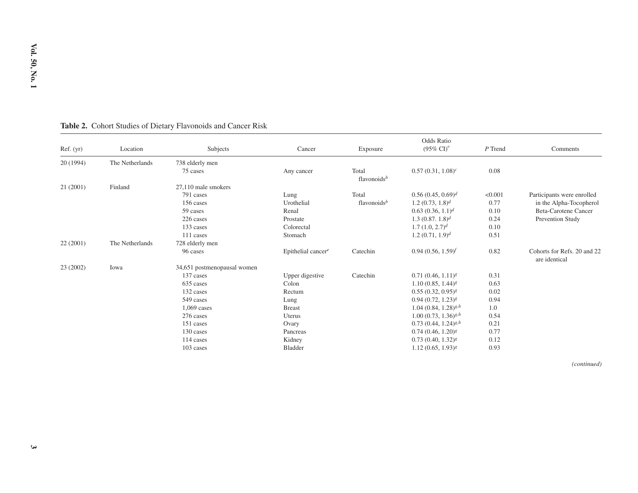|           |                 |                             |                       |                                  | <b>Odds Ratio</b>               |           |                                              |
|-----------|-----------------|-----------------------------|-----------------------|----------------------------------|---------------------------------|-----------|----------------------------------------------|
| Ref. (yr) | Location        | Subjects                    | Cancer                | Exposure                         | $(95\% \text{ CI})^a$           | $P$ Trend | Comments                                     |
| 20 (1994) | The Netherlands | 738 elderly men             |                       |                                  |                                 |           |                                              |
|           |                 | 75 cases                    | Any cancer            | Total<br>flavonoids <sup>b</sup> | $0.57(0.31, 1.08)^c$            | 0.08      |                                              |
| 21 (2001) | Finland         | 27,110 male smokers         |                       |                                  |                                 |           |                                              |
|           |                 | 791 cases                   | Lung                  | Total                            | $0.56(0.45, 0.69)^d$            | < 0.001   | Participants were enrolled                   |
|           |                 | 156 cases                   | Urothelial            | flavonoids $^b$                  | 1.2 $(0.73, 1.8)^d$             | 0.77      | in the Alpha-Tocopherol                      |
|           |                 | 59 cases                    | Renal                 |                                  | $0.63(0.36, 1.1)^d$             | 0.10      | <b>Beta-Carotene Cancer</b>                  |
|           |                 | 226 cases                   | Prostate              |                                  | 1.3 $(0.87, 1.8)^d$             | 0.24      | Prevention Study                             |
|           |                 | 133 cases                   | Colorectal            |                                  | 1.7 $(1.0, 2.7)^d$              | 0.10      |                                              |
|           |                 | 111 cases                   | Stomach               |                                  | 1.2 $(0.71, 1.9)^d$             | 0.51      |                                              |
| 22(2001)  | The Netherlands | 728 elderly men             |                       |                                  |                                 |           |                                              |
|           |                 | 96 cases                    | Epithelial cancer $e$ | Catechin                         | $0.94(0.56, 1.59)^f$            | 0.82      | Cohorts for Refs. 20 and 22<br>are identical |
| 23 (2002) | Iowa            | 34,651 postmenopausal women |                       |                                  |                                 |           |                                              |
|           |                 | 137 cases                   | Upper digestive       | Catechin                         | $0.71(0.46, 1.11)^g$            | 0.31      |                                              |
|           |                 | 635 cases                   | Colon                 |                                  | $1.10(0.85, 1.44)^g$            | 0.63      |                                              |
|           |                 | 132 cases                   | Rectum                |                                  | $0.55(0.32, 0.95)$ <sup>g</sup> | 0.02      |                                              |
|           |                 | 549 cases                   | Lung                  |                                  | $0.94(0.72, 1.23)^g$            | 0.94      |                                              |
|           |                 | $1,069$ cases               | <b>Breast</b>         |                                  | $1.04(0.84, 1.28)^{g,h}$        | 1.0       |                                              |
|           |                 | 276 cases                   | Uterus                |                                  | $1.00 (0.73, 1.36)^{g,h}$       | 0.54      |                                              |
|           |                 | 151 cases                   | Ovary                 |                                  | $0.73(0.44, 1.24)^{g,h}$        | 0.21      |                                              |
|           |                 | 130 cases                   | Pancreas              |                                  | $0.74(0.46, 1.20)^g$            | 0.77      |                                              |
|           |                 | 114 cases                   | Kidney                |                                  | $0.73(0.40, 1.32)^g$            | 0.12      |                                              |
|           |                 | 103 cases                   | Bladder               |                                  | $1.12(0.65, 1.93)^g$            | 0.93      |                                              |

#### **Table 2.** Cohort Studies of Dietary Flavonoids and Cancer Risk

*(continued)*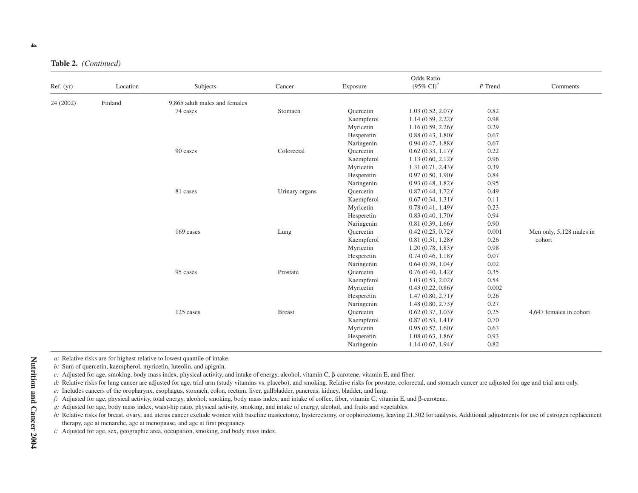| Ref. (yr) | Location | Subjects                      | Cancer         | Exposure   | Odds Ratio<br>$(95\% \text{ CI})^a$ | $P$ Trend | Comments                 |
|-----------|----------|-------------------------------|----------------|------------|-------------------------------------|-----------|--------------------------|
| 24 (2002) | Finland  | 9,865 adult males and females |                |            |                                     |           |                          |
|           |          | 74 cases                      | Stomach        | Quercetin  | $1.03 (0.52, 2.07)^i$               | 0.82      |                          |
|           |          |                               |                | Kaempferol | $1.14(0.59, 2.22)^i$                | 0.98      |                          |
|           |          |                               |                | Myricetin  | $1.16(0.59, 2.26)^i$                | 0.29      |                          |
|           |          |                               |                | Hesperetin | $0.88(0.43, 1.80)^i$                | 0.67      |                          |
|           |          |                               |                | Naringenin | $0.94(0.47, 1.88)^i$                | 0.67      |                          |
|           |          | 90 cases                      | Colorectal     | Quercetin  | $0.62(0.33, 1.17)^i$                | 0.22      |                          |
|           |          |                               |                | Kaempferol | $1.13(0.60, 2.12)^i$                | 0.96      |                          |
|           |          |                               |                | Myricetin  | $1.31(0.71, 2.43)^i$                | 0.39      |                          |
|           |          |                               |                | Hesperetin | $0.97(0.50, 1.90)^i$                | 0.84      |                          |
|           |          |                               |                | Naringenin | $0.93(0.48, 1.82)^i$                | 0.95      |                          |
|           |          | 81 cases                      | Urinary organs | Quercetin  | $0.87(0.44, 1.72)^t$                | 0.49      |                          |
|           |          |                               |                | Kaempferol | $0.67(0.34, 1.31)^i$                | 0.11      |                          |
|           |          |                               |                | Myricetin  | $0.78(0.41, 1.49)^i$                | 0.23      |                          |
|           |          |                               |                | Hesperetin | $0.83(0.40, 1.70)^i$                | 0.94      |                          |
|           |          |                               |                | Naringenin | $0.81(0.39, 1.66)^i$                | 0.90      |                          |
|           |          | 169 cases                     | Lung           | Quercetin  | $0.42(0.25, 0.72)^i$                | 0.001     | Men only, 5,128 males in |
|           |          |                               |                | Kaempferol | $0.81(0.51, 1.28)^i$                | 0.26      | cohort                   |
|           |          |                               |                | Myricetin  | $1.20 (0.78, 1.83)^i$               | 0.98      |                          |
|           |          |                               |                | Hesperetin | $0.74(0.46, 1.18)^i$                | 0.07      |                          |
|           |          |                               |                | Naringenin | $0.64(0.39, 1.04)^i$                | 0.02      |                          |
|           |          | 95 cases                      | Prostate       | Quercetin  | $0.76(0.40, 1.42)^i$                | 0.35      |                          |
|           |          |                               |                | Kaempferol | $1.03 (0.53, 2.02)^i$               | 0.54      |                          |
|           |          |                               |                | Myricetin  | $0.43$ $(0.22, 0.86)^i$             | 0.002     |                          |
|           |          |                               |                | Hesperetin | 1.47 $(0.80, 2.71)^i$               | 0.26      |                          |
|           |          |                               |                | Naringenin | 1.48 $(0.80, 2.73)^i$               | 0.27      |                          |
|           |          | 125 cases                     | <b>Breast</b>  | Ouercetin  | $0.62(0.37, 1.03)^i$                | 0.25      | 4,647 females in cohort  |
|           |          |                               |                | Kaempferol | $0.87(0.53, 1.41)^i$                | 0.70      |                          |
|           |          |                               |                | Myricetin  | $0.95(0.57, 1.60)^i$                | 0.63      |                          |
|           |          |                               |                | Hesperetin | $1.08(0.63, 1.86)^i$                | 0.93      |                          |
|           |          |                               |                | Naringenin | 1.14 $(0.67, 1.94)^i$               | 0.82      |                          |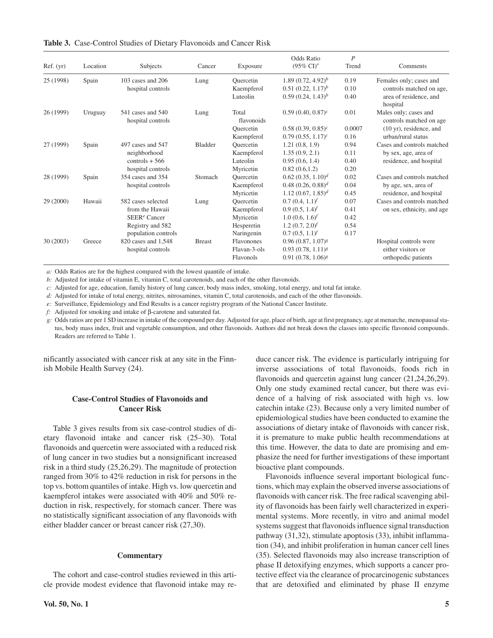| Ref. (yr) | Location | Subjects                                                                                                     | Cancer         | Exposure            | Odds Ratio<br>$(95\% \text{ CI})^a$ | $\boldsymbol{P}$<br>Trend | Comments                                         |
|-----------|----------|--------------------------------------------------------------------------------------------------------------|----------------|---------------------|-------------------------------------|---------------------------|--------------------------------------------------|
| 25 (1998) | Spain    | $103$ cases and $206$                                                                                        | Lung           | Ouercetin           | 1.89 $(0.72, 4.92)^b$               | 0.19                      | Females only; cases and                          |
|           |          | hospital controls                                                                                            |                | Kaempferol          | $0.51(0.22, 1.17)^b$                | 0.10                      | controls matched on age,                         |
|           |          |                                                                                                              |                | Luteolin            | $0.59(0.24, 1.43)^{b}$              | 0.40                      | area of residence, and<br>hospital               |
| 26 (1999) | Uruguay  | 541 cases and 540<br>hospital controls                                                                       | Lung           | Total<br>flavonoids | $0.59(0.40, 0.87)^c$                | 0.01                      | Males only; cases and<br>controls matched on age |
|           |          |                                                                                                              |                | Ouercetin           | $0.58(0.39, 0.85)^c$                | 0.0007                    | $(10 \text{ yr})$ , residence, and               |
|           |          |                                                                                                              |                | Kaempferol          | $0.79(0.55, 1.17)^c$                | 0.16                      | urban/rural status                               |
| 27 (1999) | Spain    | 497 cases and 547<br>neighborhood<br>controls $+566$<br>hospital controls                                    | <b>Bladder</b> | Quercetin           | 1.21(0.8, 1.9)                      | 0.94                      | Cases and controls matched                       |
|           |          |                                                                                                              |                | Kaempferol          | 1.35(0.9, 2.1)                      | 0.11                      | by sex, age, area of                             |
|           |          |                                                                                                              |                | Luteolin            | 0.95(0.6, 1.4)                      | 0.40                      | residence, and hospital                          |
|           |          |                                                                                                              |                | Myricetin           | 0.82(0.6, 1.2)                      | 0.20                      |                                                  |
| 28 (1999) | Spain    | 354 cases and 354<br>hospital controls                                                                       | Stomach        | Quercetin           | $0.62(0.35, 1.10)^d$                | 0.02                      | Cases and controls matched                       |
|           |          |                                                                                                              |                | Kaempferol          | $0.48~(0.26, 0.88)^d$               | 0.04                      | by age, sex, area of                             |
|           |          |                                                                                                              |                | Myricetin           | $1.12(0.67, 1.85)^d$                | 0.45                      | residence, and hospital                          |
| 29 (2000) | Hawaii   | 582 cases selected<br>from the Hawaii<br>SEER <sup>e</sup> Cancer<br>Registry and 582<br>population controls | Lung           | Ouercetin           | 0.7(0.4, 1.1)                       | 0.07                      | Cases and controls matched                       |
|           |          |                                                                                                              |                | Kaempferol          | 0.9(0.5, 1.4)                       | 0.41                      | on sex, ethnicity, and age                       |
|           |          |                                                                                                              |                | Myricetin           | $1.0(0.6, 1.6)^f$                   | 0.42                      |                                                  |
|           |          |                                                                                                              |                | Hesperetin          | $1.2(0.7, 2.0)^f$                   | 0.54                      |                                                  |
|           |          |                                                                                                              |                | Naringenin          | 0.7(0.5, 1.1)                       | 0.17                      |                                                  |
| 30 (2003) | Greece   | 820 cases and 1,548                                                                                          | <b>Breast</b>  | <b>Flavonones</b>   | $0.96(0.87, 1.07)^g$                |                           | Hospital controls were                           |
|           |          | hospital controls                                                                                            |                | Flavan-3-ols        | $0.93(0.78, 1.11)^g$                |                           | either visitors or                               |
|           |          |                                                                                                              |                | Flavonols           | $0.91(0.78, 1.06)^g$                |                           | orthopedic patients                              |

*a:* Odds Ratios are for the highest compared with the lowest quantile of intake.

*b:* Adjusted for intake of vitamin E, vitamin C, total carotenoids, and each of the other flavonoids.

*c:* Adjusted for age, education, family history of lung cancer, body mass index, smoking, total energy, and total fat intake.

*d:* Adjusted for intake of total energy, nitrites, nitrosamines, vitamin C, total carotenoids, and each of the other flavonoids.

*e:* Surveillance, Epidemiology and End Results is a cancer registry program of the National Cancer Institute.

*f:* Adjusted for smoking and intake of β-carotene and saturated fat.

*g:* Odds ratios are per 1 SD increase in intake of the compound per day. Adjusted for age, place of birth, age at first pregnancy, age at menarche, menopausalstatus, body mass index, fruit and vegetable consumption, and other flavonoids. Authors did not break down the classes into specific flavonoid compounds. Readers are referred to Table 1.

nificantly associated with cancer risk at any site in the Finnish Mobile Health Survey (24).

## **Case-Control Studies of Flavonoids and Cancer Risk**

Table 3 gives results from six case-control studies of dietary flavonoid intake and cancer risk (25–30). Total flavonoids and quercetin were associated with a reduced risk of lung cancer in two studies but a nonsignificant increased risk in a third study (25,26,29). The magnitude of protection ranged from 30% to 42% reduction in risk for persons in the top vs. bottom quantiles of intake. High vs. low quercetin and kaempferol intakes were associated with 40% and 50% reduction in risk, respectively, for stomach cancer. There was no statistically significant association of any flavonoids with either bladder cancer or breast cancer risk (27,30).

#### **Commentary**

The cohort and case-control studies reviewed in this article provide modest evidence that flavonoid intake may reduce cancer risk. The evidence is particularly intriguing for inverse associations of total flavonoids, foods rich in flavonoids and quercetin against lung cancer (21,24,26,29). Only one study examined rectal cancer, but there was evidence of a halving of risk associated with high vs. low catechin intake (23). Because only a very limited number of epidemiological studies have been conducted to examine the associations of dietary intake of flavonoids with cancer risk, it is premature to make public health recommendations at this time. However, the data to date are promising and emphasize the need for further investigations of these important bioactive plant compounds.

Flavonoids influence several important biological functions, which may explain the observed inverse associations of flavonoids with cancer risk. The free radical scavenging ability of flavonoids has been fairly well characterized in experimental systems. More recently, in vitro and animal model systems suggest that flavonoids influence signal transduction pathway (31,32), stimulate apoptosis (33), inhibit inflammation (34), and inhibit proliferation in human cancer cell lines (35). Selected flavonoids may also increase transcription of phase II detoxifying enzymes, which supports a cancer protective effect via the clearance of procarcinogenic substances that are detoxified and eliminated by phase II enzyme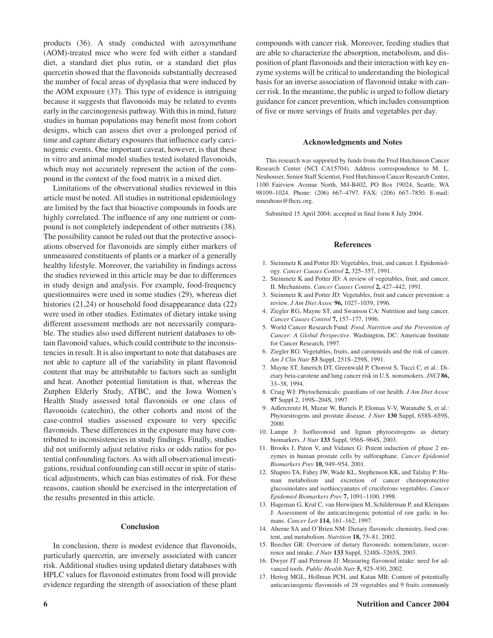products (36). A study conducted with azoxymethane (AOM)-treated mice who were fed with either a standard diet, a standard diet plus rutin, or a standard diet plus quercetin showed that the flavonoids substantially decreased the number of focal areas of dysplasia that were induced by the AOM exposure (37). This type of evidence is intriguing because it suggests that flavonoids may be related to events early in the carcinogenesis pathway. With this in mind, future studies in human populations may benefit most from cohort designs, which can assess diet over a prolonged period of time and capture dietary exposures that influence early carcinogenic events. One important caveat, however, is that these in vitro and animal model studies tested isolated flavonoids, which may not accurately represent the action of the compound in the context of the food matrix in a mixed diet.

Limitations of the observational studies reviewed in this article must be noted. All studies in nutritional epidemiology are limited by the fact that bioactive compounds in foods are highly correlated. The influence of any one nutrient or compound is not completely independent of other nutrients (38). The possibility cannot be ruled out that the protective associations observed for flavonoids are simply either markers of unmeasured constituents of plants or a marker of a generally healthy lifestyle. Moreover, the variability in findings across the studies reviewed in this article may be due to differences in study design and analysis. For example, food-frequency questionnaires were used in some studies (29), whereas diet histories (21,24) or household food disappearance data (22) were used in other studies. Estimates of dietary intake using different assessment methods are not necessarily comparable. The studies also used different nutrient databases to obtain flavonoid values, which could contribute to the inconsistencies in result. It is also important to note that databases are not able to capture all of the variability in plant flavonoid content that may be attributable to factors such as sunlight and heat. Another potential limitation is that, whereas the Zutphen Elderly Study, ATBC, and the Iowa Women's Health Study assessed total flavonoids or one class of flavonoids (catechin), the other cohorts and most of the case-control studies assessed exposure to very specific flavonoids. These differences in the exposure may have contributed to inconsistencies in study findings. Finally, studies did not uniformly adjust relative risks or odds ratios for potential confounding factors. As with all observational investigations, residual confounding can still occur in spite of statistical adjustments, which can bias estimates of risk. For these reasons, caution should be exercised in the interpretation of the results presented in this article.

#### **Conclusion**

In conclusion, there is modest evidence that flavonoids, particularly quercetin, are inversely associated with cancer risk. Additional studies using updated dietary databases with HPLC values for flavonoid estimates from food will provide evidence regarding the strength of association of these plant

compounds with cancer risk. Moreover, feeding studies that are able to characterize the absorption, metabolism, and disposition of plant flavonoids and their interaction with key enzyme systems will be critical to understanding the biological basis for an inverse association of flavonoid intake with cancer risk. In the meantime, the public is urged to follow dietary guidance for cancer prevention, which includes consumption of five or more servings of fruits and vegetables per day.

#### **Acknowledgments and Notes**

This research was supported by funds from the Fred Hutchinson Cancer Research Center (NCI CA15704). Address correspondence to M. L. Neuhouser, Senior Staff Scientist, Fred Hutchinson Cancer Research Center, 1100 Fairview Avenue North, M4-B402, PO Box 19024, Seattle, WA 98109–1024. Phone: (206) 667–4797. FAX: (206) 667–7850. E-mail: mneuhous@fhcrc.org.

Submitted 15 April 2004; accepted in final form 8 July 2004.

#### **References**

- 1. Steinmetz K and Potter JD: Vegetables, fruit, and cancer. I. Epidemiology. *Cancer Causes Control* **2,** 325–357, 1991.
- 2. Steinmetz K and Potter JD: A review of vegetables, fruit, and cancer. II. Mechanisms. *Cancer Causes Control* **2,** 427–442, 1991.
- 3. Steinmetz K and Potter JD: Vegetables, fruit and cancer prevention: a review. *J Am Diet Assoc* **96,** 1027–1039, 1996.
- 4. Ziegler RG, Mayne ST, and Swanson CA: Nutrition and lung cancer. *Cancer Causes Control* **7,** 157–177, 1996.
- 5. World Cancer Research Fund: *Food, Nutrition and the Prevention of Cancer: A Global Perspective*. Washington, DC: American Institute for Cancer Research, 1997.
- 6. Ziegler RG: Vegetables, fruits, and carotenoids and the risk of cancer. *Am J Clin Nutr* **53** Suppl, 251S–259S, 1991.
- 7. Mayne ST, Janerich DT, Greenwald P, Chorost S, Tucci C, et al.: Dietary beta-carotene and lung cancer risk in U.S. nonsmokers. *JNCI* **86,** 33–38, 1994.
- 8. Craig WJ: Phytochemicals: guardians of our health. *J Am Diet Assoc* **97** Suppl 2, 199S–204S, 1997.
- 9. Adlercreutz H, Mazur W, Bartels P, Elomaa V-V, Watanabe S, et al.: Phytoestrogens and prostate disease. *J Nutr* **130** Suppl, 658S–659S, 2000.
- 10. Lampe J: Isoflavonoid and lignan phytoestrogens as dietary biomarkers. *J Nutr* **133** Suppl, 956S–964S, 2003.
- 11. Brooks J, Paton V, and Vidanes G: Potent induction of phase 2 enzymes in human prostate cells by sulforaphane. *Cancer Epidemiol Biomarkers Prev* **10,** 949–954, 2001.
- 12. Shapiro TA, Fahey JW, Wade KL, Stephenson KK, and Talalay P: Human metabolism and excretion of cancer chemoprotective glucosinolates and isothiocyanates of cruciferous vegetables. *Cancer Epidemiol Biomarkers Prev* **7,** 1091–1100, 1998.
- 13. Hageman G, Krul C, van Herwijnen M, Schilderman P, and Kleinjans J: Assessment of the anticarcinogenic potential of raw garlic in humans. *Cancer Lett* **114,** 161–162, 1997.
- 14. Aherne SA and O'Brien NM: Dietary flavonols: chemistry, food content, and metabolism. *Nutrition* **18,** 75–81, 2002.
- 15. Beecher GR: Overview of dietary flavonoids: nomenclature, occurrence and intake. *J Nutr* **133** Suppl, 3248S–3265S, 2003.
- 16. Dwyer JT and Peterson JJ: Measuring flavonoid intake: need for advanced tools. *Public Health Nutr* **5,** 925–930, 2002.
- 17. Hertog MGL, Hollman PCH, and Katan MB: Content of potentially anticarcinogenic flavonoids of 28 vegetables and 9 fruits commonly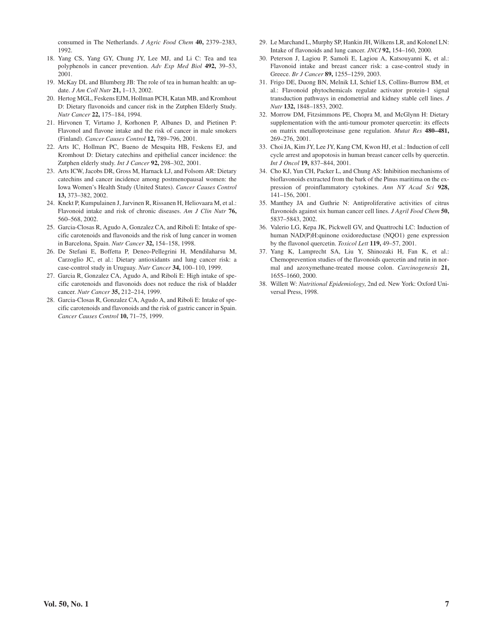consumed in The Netherlands. *J Agric Food Chem* **40,** 2379–2383, 1992.

- 18. Yang CS, Yang GY, Chung JY, Lee MJ, and Li C: Tea and tea polyphenols in cancer prevention. *Adv Exp Med Biol* **492,** 39–53, 2001.
- 19. McKay DL and Blumberg JB: The role of tea in human health: an update. *J Am Coll Nutr* **21,** 1–13, 2002.
- 20. Hertog MGL, Feskens EJM, Hollman PCH, Katan MB, and Kromhout D: Dietary flavonoids and cancer risk in the Zutphen Elderly Study. *Nutr Cancer* **22,** 175–184, 1994.
- 21. Hirvonen T, Virtamo J, Korhonen P, Albanes D, and Pietinen P: Flavonol and flavone intake and the risk of cancer in male smokers (Finland). *Cancer Causes Control* **12,** 789–796, 2001.
- 22. Arts IC, Hollman PC, Bueno de Mesquita HB, Feskens EJ, and Kromhout D: Dietary catechins and epithelial cancer incidence: the Zutphen elderly study. *Int J Cancer* **92,** 298–302, 2001.
- 23. Arts ICW, Jacobs DR, Gross M, Harnack LJ, and Folsom AR: Dietary catechins and cancer incidence among postmenopausal women: the Iowa Women's Health Study (United States). *Cancer Causes Control* **13,** 373–382, 2002.
- 24. Knekt P, Kumpulainen J, Jarvinen R, Rissanen H, Heliovaara M, et al.: Flavonoid intake and risk of chronic diseases. *Am J Clin Nutr* **76,** 560–568, 2002.
- 25. Garcia-Closas R, Agudo A, Gonzalez CA, and Riboli E: Intake of specific carotenoids and flavonoids and the risk of lung cancer in women in Barcelona, Spain. *Nutr Cancer* **32,** 154–158, 1998.
- 26. De Stefani E, Boffetta P, Deneo-Pellegrini H, Mendilaharsu M, Carzoglio JC, et al.: Dietary antioxidants and lung cancer risk: a case-control study in Uruguay. *Nutr Cancer* **34,** 100–110, 1999.
- 27. Garcia R, Gonzalez CA, Agudo A, and Riboli E: High intake of specific carotenoids and flavonoids does not reduce the risk of bladder cancer. *Nutr Cancer* **35,** 212–214, 1999.
- 28. Garcia-Closas R, Gonzalez CA, Agudo A, and Riboli E: Intake of specific carotenoids and flavonoids and the risk of gastric cancer in Spain. *Cancer Causes Control* **10,** 71–75, 1999.
- 29. Le Marchand L, Murphy SP, Hankin JH, Wilkens LR, and Kolonel LN: Intake of flavonoids and lung cancer. *JNCI* **92,** 154–160, 2000.
- 30. Peterson J, Lagiou P, Samoli E, Lagiou A, Katsouyanni K, et al.: Flavonoid intake and breast cancer risk: a case-control study in Greece. *Br J Cancer* **89,** 1255–1259, 2003.
- 31. Frigo DE, Duong BN, Melnik LI, Schief LS, Collins-Burrow BM, et al.: Flavonoid phytochemicals regulate activator protein-1 signal transduction pathways in endometrial and kidney stable cell lines. *J Nutr* **132,** 1848–1853, 2002.
- 32. Morrow DM, Fitzsimmons PE, Chopra M, and McGlynn H: Dietary supplementation with the anti-tumour promoter quercetin: its effects on matrix metalloproteinase gene regulation. *Mutat Res* **480–481,** 269–276, 2001.
- 33. Choi JA, Kim JY, Lee JY, Kang CM, Kwon HJ, et al.: Induction of cell cycle arrest and apopotosis in human breast cancer cells by quercetin. *Int J Oncol* **19,** 837–844, 2001.
- 34. Cho KJ, Yun CH, Packer L, and Chung AS: Inhibition mechanisms of bioflavonoids extracted from the bark of the Pinus maritima on the expression of proinflammatory cytokines. *Ann NY Acad Sci* **928,** 141–156, 2001.
- 35. Manthey JA and Guthrie N: Antiproliferative activities of citrus flavonoids against six human cancer cell lines. *J Agril Food Chem* **50,** 5837–5843, 2002.
- 36. Valerio LG, Kepa JK, Pickwell GV, and Quattrochi LC: Induction of human NAD(P)H:quinone oxidoreductase (NQO1) gene expression by the flavonol quercetin. *Toxicol Lett* **119,** 49–57, 2001.
- 37. Yang K, Lamprecht SA, Liu Y, Shinozaki H, Fan K, et al.: Chemoprevention studies of the flavonoids quercetin and rutin in normal and azoxymethane-treated mouse colon. *Carcinogenesis* **21,** 1655–1660, 2000.
- 38. Willett W: *Nutritional Epidemiology*, 2nd ed. New York: Oxford Universal Press, 1998.